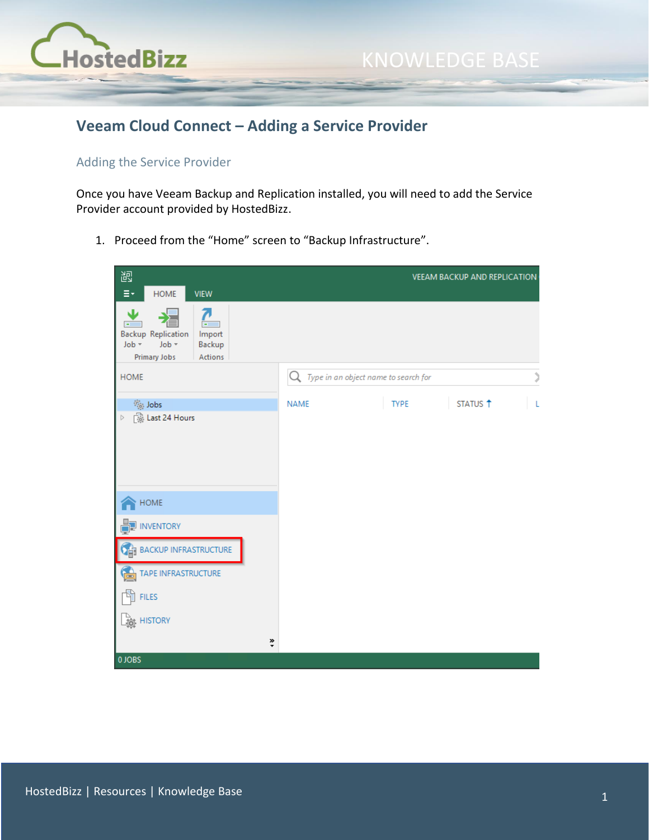

## **Veeam Cloud Connect – Adding a Service Provider**

## Adding the Service Provider

Once you have Veeam Backup and Replication installed, you will need to add the Service Provider account provided by HostedBizz.

1. Proceed from the "Home" screen to "Backup Infrastructure".

| 齞                                                                                                      |             |                                      | VEEAM BACKUP AND REPLICATION |   |
|--------------------------------------------------------------------------------------------------------|-------------|--------------------------------------|------------------------------|---|
| HOME<br><b>VIEW</b><br>Ξ۰                                                                              |             |                                      |                              |   |
| J<br><b>Backup Replication</b><br>Import<br>Job +<br>Job -<br>Backup<br><b>Primary Jobs</b><br>Actions |             |                                      |                              |   |
| <b>HOME</b>                                                                                            | Q           | Type in an object name to search for |                              | J |
| % Jobs<br>[ ast 24 Hours<br>$\triangleright$                                                           | <b>NAME</b> | <b>TYPE</b>                          | STATUS <sup>1</sup>          |   |
| $\sf{HOME}$                                                                                            |             |                                      |                              |   |
| <b>INVENTORY</b>                                                                                       |             |                                      |                              |   |
| <b>BACKUP INFRASTRUCTURE</b>                                                                           |             |                                      |                              |   |
| TAPE INFRASTRUCTURE<br>ra i                                                                            |             |                                      |                              |   |
| <b>FILES</b>                                                                                           |             |                                      |                              |   |
| <b>HISTORY</b>                                                                                         |             |                                      |                              |   |
| »                                                                                                      |             |                                      |                              |   |
| 0 JOBS                                                                                                 |             |                                      |                              |   |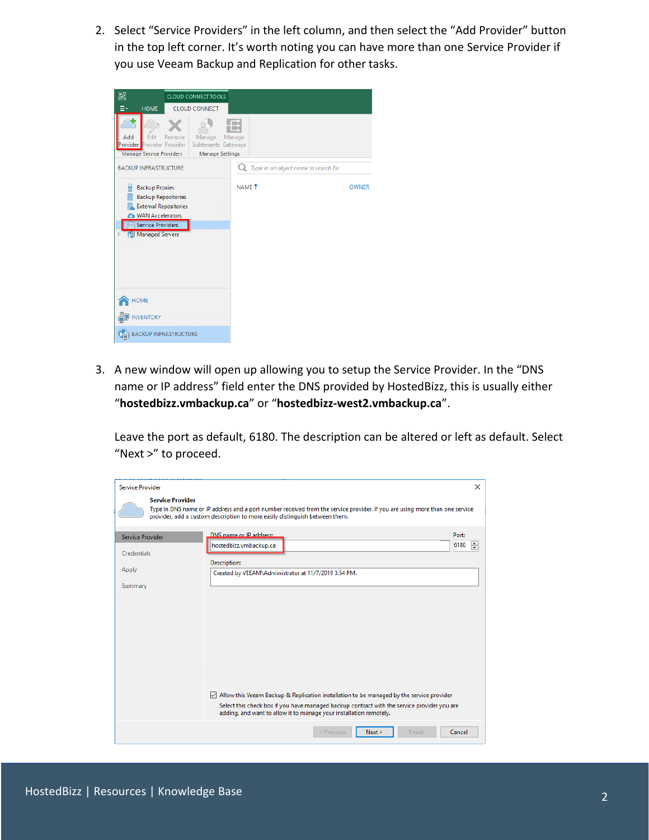2. Select "Service Providers" in the left column, and then select the "Add Provider" button in the top left corner. It's worth noting you can have more than one Service Provider if you use Veeam Backup and Replication for other tasks.



3. A new window will open up allowing you to setup the Service Provider. In the "DNS name or IP address" field enter the DNS provided by HostedBizz, this is usually either "**hostedbizz.vmbackup.ca**" or "**hostedbizz-west2.vmbackup.ca**".

Leave the port as default, 6180. The description can be altered or left as default. Select "Next >" to proceed.

| <b>Service Provider</b> | $\times$                                                                                                                                                                                                   |
|-------------------------|------------------------------------------------------------------------------------------------------------------------------------------------------------------------------------------------------------|
| <b>Service Provider</b> | Type in DNS name or IP address and a port number received from the service provider. If you are using more than one service<br>provider, add a custom description to more easily distinguish between them. |
| <b>Service Provider</b> | DNS name or IP address:<br>Port:                                                                                                                                                                           |
| Credentials             | $\div$<br>6180<br>hostedbizz.vmbackup.ca                                                                                                                                                                   |
|                         | <b>Description:</b>                                                                                                                                                                                        |
| Apply                   | Created by VEEAM\Administrator at 11/7/2019 3:54 PM.                                                                                                                                                       |
| Summary                 |                                                                                                                                                                                                            |
|                         |                                                                                                                                                                                                            |
|                         |                                                                                                                                                                                                            |
|                         |                                                                                                                                                                                                            |
|                         |                                                                                                                                                                                                            |
|                         |                                                                                                                                                                                                            |
|                         |                                                                                                                                                                                                            |
|                         |                                                                                                                                                                                                            |
|                         |                                                                                                                                                                                                            |
|                         | $\vee$ Allow this Veeam Backup & Replication installation to be managed by the service provider<br>Select this check box if you have managed backup contract with the service provider you are             |
|                         | adding, and want to allow it to manage your installation remotely.                                                                                                                                         |
|                         | Next<br>Cancel<br>$<$ Previous<br>Finish                                                                                                                                                                   |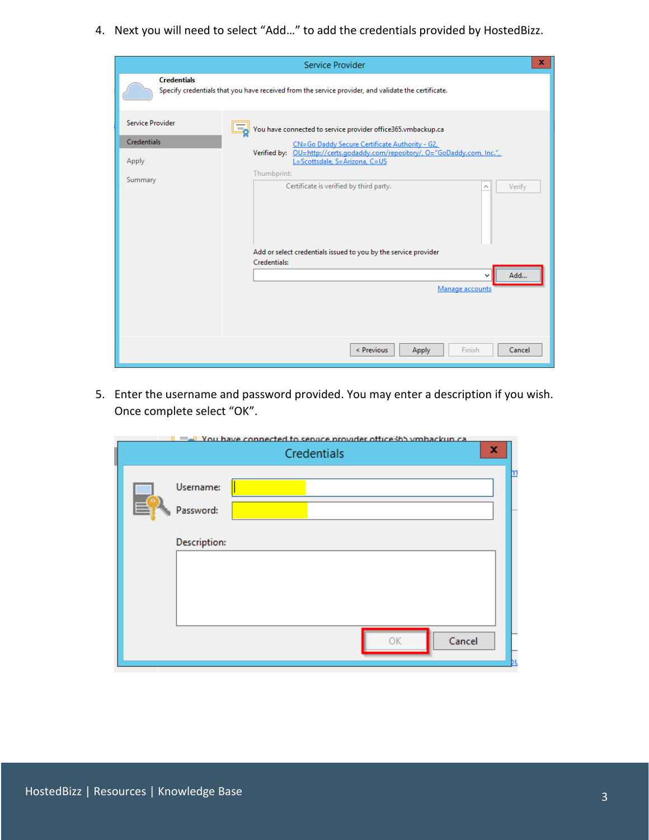4. Next you will need to select "Add…" to add the credentials provided by HostedBizz.

|                                                                   | Service Provider                                                                                                                                                                                                                                                                                             | x. |
|-------------------------------------------------------------------|--------------------------------------------------------------------------------------------------------------------------------------------------------------------------------------------------------------------------------------------------------------------------------------------------------------|----|
| <b>Credentials</b>                                                | Specify credentials that you have received from the service provider, and validate the certificate.                                                                                                                                                                                                          |    |
| <b>Service Provider</b><br><b>Credentials</b><br>Apply<br>Summary | You have connected to service provider office365.vmbackup.ca<br>اہ≡ ا<br>CN=Go Daddy Secure Certificate Authority - G2,<br>Verified by: OU=http://certs.godaddy.com/repository/, O="GoDaddy.com, Inc.",<br>L=Scottsdale, S=Arizona, C=US<br>Thumbprint:<br>Certificate is verified by third party.<br>Verify |    |
|                                                                   | Add or select credentials issued to you by the service provider<br>Credentials:<br>Add<br>v<br>Manage accounts                                                                                                                                                                                               |    |
|                                                                   | Finish<br>< Previous<br>Apply<br>Cancel                                                                                                                                                                                                                                                                      |    |

5. Enter the username and password provided. You may enter a description if you wish. Once complete select "OK".

|     | = I You have connected to service provider office3hb ymhackun ca<br>x<br>Credentials |  |
|-----|--------------------------------------------------------------------------------------|--|
| EY. | Username:<br>Password:<br>Description:                                               |  |
|     | Cancel                                                                               |  |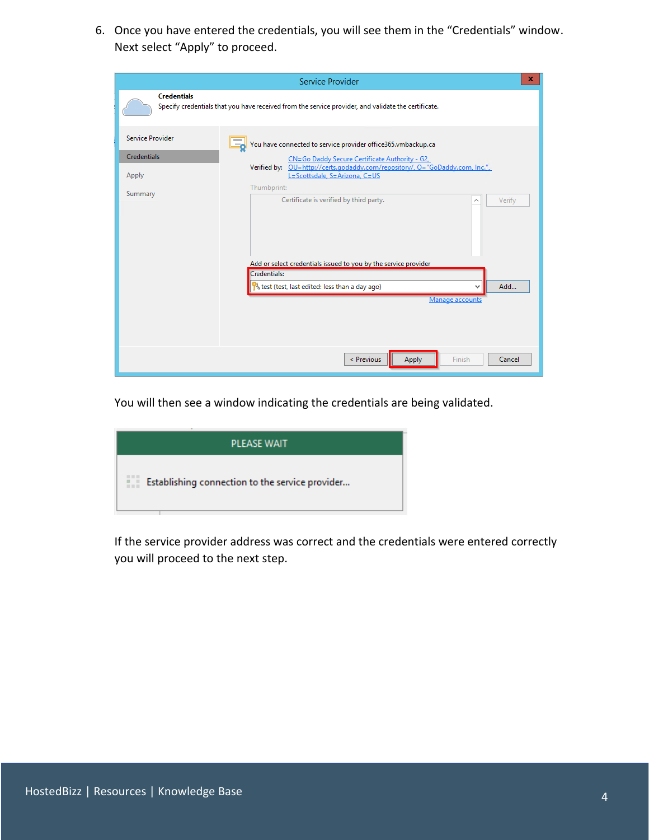6. Once you have entered the credentials, you will see them in the "Credentials" window. Next select "Apply" to proceed.

| ×<br>Service Provider                           |                                                                                                                                                                                                                                         |  |  |
|-------------------------------------------------|-----------------------------------------------------------------------------------------------------------------------------------------------------------------------------------------------------------------------------------------|--|--|
| <b>Credentials</b>                              | Specify credentials that you have received from the service provider, and validate the certificate.                                                                                                                                     |  |  |
| <b>Service Provider</b><br>Credentials<br>Apply | You have connected to service provider office365.vmbackup.ca<br>له≣ا<br>CN=Go Daddy Secure Certificate Authority - G2,<br>Verified by: OU=http://certs.godaddy.com/repository/, O="GoDaddy.com, Inc.",<br>L=Scottsdale, S=Arizona, C=US |  |  |
| Summary                                         | Thumbprint:<br>Certificate is verified by third party.<br>Verify                                                                                                                                                                        |  |  |
|                                                 | Add or select credentials issued to you by the service provider<br>Credentials:<br>Add<br>test (test, last edited: less than a day ago)<br>v<br>Manage accounts                                                                         |  |  |
|                                                 | < Previous<br><b>Apply</b><br>Finish<br>Cancel                                                                                                                                                                                          |  |  |

You will then see a window indicating the credentials are being validated.

| <b>PLEASE WAIT</b>                                   |
|------------------------------------------------------|
| 糚<br>Establishing connection to the service provider |

If the service provider address was correct and the credentials were entered correctly you will proceed to the next step.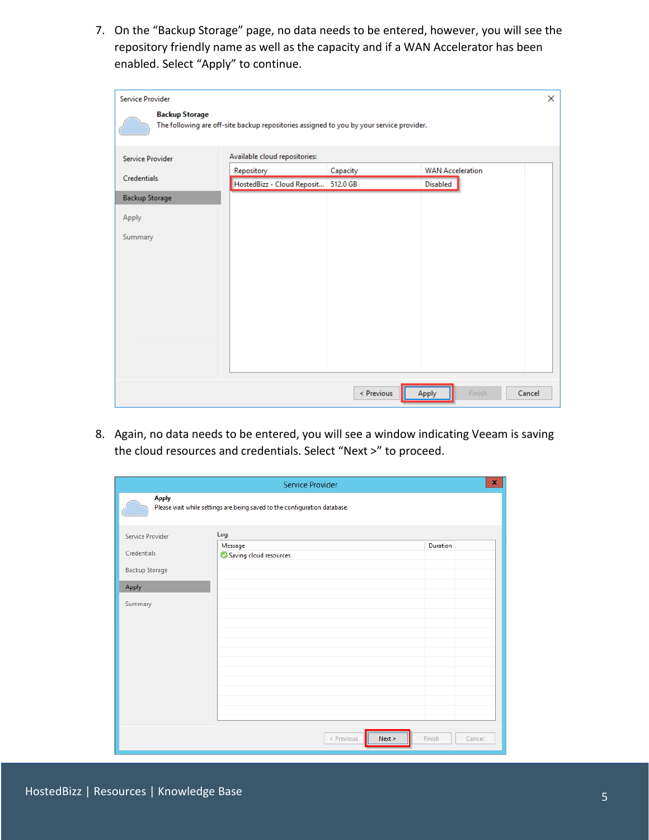7. On the "Backup Storage" page, no data needs to be entered, however, you will see the repository friendly name as well as the capacity and if a WAN Accelerator has been enabled. Select "Apply" to continue.

| Service Provider        |                                                                                          |            | ×                         |
|-------------------------|------------------------------------------------------------------------------------------|------------|---------------------------|
| <b>Backup Storage</b>   | The following are off-site backup repositories assigned to you by your service provider. |            |                           |
| <b>Service Provider</b> | Available cloud repositories:                                                            |            |                           |
| Credentials             | Repository                                                                               | Capacity   | <b>WAN Acceleration</b>   |
|                         | HostedBizz - Cloud Reposit 512.0 GB                                                      |            | <b>Disabled</b>           |
| <b>Backup Storage</b>   |                                                                                          |            |                           |
| Apply                   |                                                                                          |            |                           |
| Summary                 |                                                                                          |            |                           |
|                         |                                                                                          |            |                           |
|                         |                                                                                          |            |                           |
|                         |                                                                                          |            |                           |
|                         |                                                                                          |            |                           |
|                         |                                                                                          |            |                           |
|                         |                                                                                          |            |                           |
|                         |                                                                                          |            |                           |
|                         |                                                                                          |            |                           |
|                         |                                                                                          |            |                           |
|                         |                                                                                          | < Previous | Finish<br>Cancel<br>Apply |

8. Again, no data needs to be entered, you will see a window indicating Veeam is saving the cloud resources and credentials. Select "Next >" to proceed.

| x.<br>Service Provider |                                                                           |                  |  |
|------------------------|---------------------------------------------------------------------------|------------------|--|
| <b>Apply</b>           | Please wait while settings are being saved to the configuration database. |                  |  |
| Service Provider       | Log:                                                                      |                  |  |
| Credentials            | Message<br>Saving cloud resources                                         | Duration         |  |
| <b>Backup Storage</b>  |                                                                           |                  |  |
| Apply                  |                                                                           |                  |  |
| Summary                |                                                                           |                  |  |
|                        |                                                                           |                  |  |
|                        | Next ><br>$<$ Previous                                                    | Finish<br>Cancel |  |